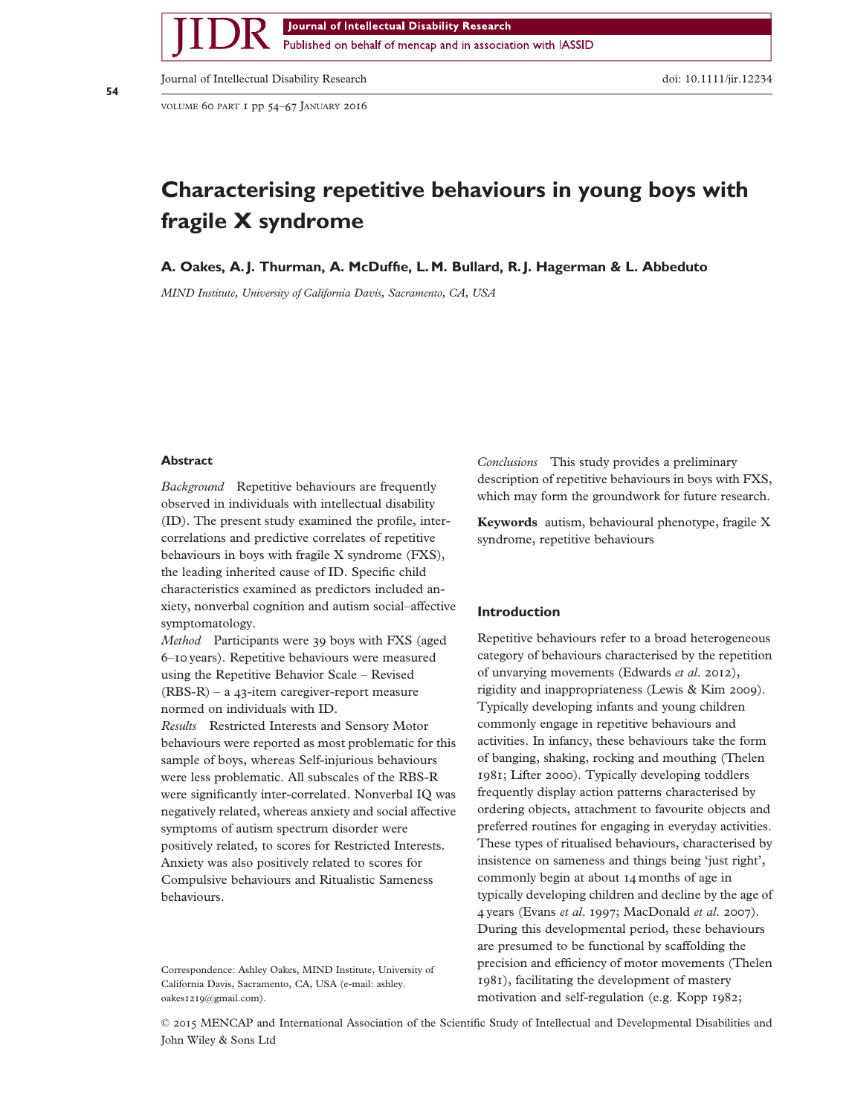Published on behalf of mencap and in association with IASSID

Journal of Intellectual Disability Research doi: 10.1111/jir.12234

VOLUME 60 PART 1 pp 54–67 JANUARY 2016

# Characterising repetitive behaviours in young boys with fragile X syndrome

# A. Oakes, A. J. Thurman, A. McDuffie, L. M. Bullard, R. J. Hagerman & L. Abbeduto

MIND Institute, University of California Davis, Sacramento, CA, USA

### **Abstract**

Background Repetitive behaviours are frequently observed in individuals with intellectual disability (ID). The present study examined the profile, intercorrelations and predictive correlates of repetitive behaviours in boys with fragile X syndrome (FXS), the leading inherited cause of ID. Specific child characteristics examined as predictors included anxiety, nonverbal cognition and autism social–affective symptomatology.

Method Participants were 39 boys with FXS (aged 6–10 years). Repetitive behaviours were measured using the Repetitive Behavior Scale – Revised (RBS-R) – a 43-item caregiver-report measure normed on individuals with ID.

Results Restricted Interests and Sensory Motor behaviours were reported as most problematic for this sample of boys, whereas Self-injurious behaviours were less problematic. All subscales of the RBS-R were significantly inter-correlated. Nonverbal IQ was negatively related, whereas anxiety and social affective symptoms of autism spectrum disorder were positively related, to scores for Restricted Interests. Anxiety was also positively related to scores for Compulsive behaviours and Ritualistic Sameness behaviours.

Correspondence: Ashley Oakes, MIND Institute, University of California Davis, Sacramento, CA, USA (e-mail: ashley. oakes1219@gmail.com).

Conclusions This study provides a preliminary description of repetitive behaviours in boys with FXS, which may form the groundwork for future research.

Keywords autism, behavioural phenotype, fragile X syndrome, repetitive behaviours

### Introduction

Repetitive behaviours refer to a broad heterogeneous category of behaviours characterised by the repetition of unvarying movements (Edwards et al. 2012), rigidity and inappropriateness (Lewis & Kim 2009). Typically developing infants and young children commonly engage in repetitive behaviours and activities. In infancy, these behaviours take the form of banging, shaking, rocking and mouthing (Thelen 1981; Lifter 2000). Typically developing toddlers frequently display action patterns characterised by ordering objects, attachment to favourite objects and preferred routines for engaging in everyday activities. These types of ritualised behaviours, characterised by insistence on sameness and things being 'just right', commonly begin at about 14 months of age in typically developing children and decline by the age of 4 years (Evans et al. 1997; MacDonald et al. 2007). During this developmental period, these behaviours are presumed to be functional by scaffolding the precision and efficiency of motor movements (Thelen 1981), facilitating the development of mastery motivation and self-regulation (e.g. Kopp 1982;

© 2015 MENCAP and International Association of the Scientific Study of Intellectual and Developmental Disabilities and John Wiley & Sons Ltd

bs\_bs\_banner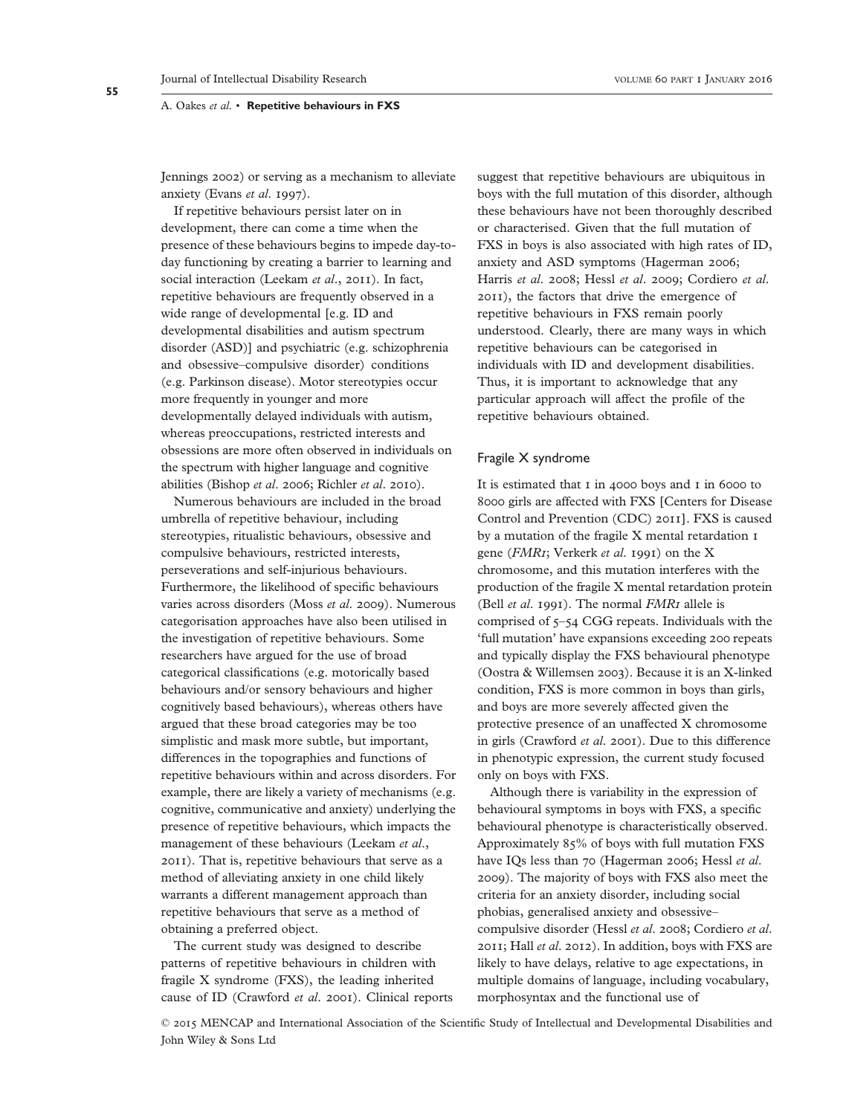Jennings 2002) or serving as a mechanism to alleviate anxiety (Evans et al. 1997).

If repetitive behaviours persist later on in development, there can come a time when the presence of these behaviours begins to impede day-today functioning by creating a barrier to learning and social interaction (Leekam et al., 2011). In fact, repetitive behaviours are frequently observed in a wide range of developmental [e.g. ID and developmental disabilities and autism spectrum disorder (ASD)] and psychiatric (e.g. schizophrenia and obsessive–compulsive disorder) conditions (e.g. Parkinson disease). Motor stereotypies occur more frequently in younger and more developmentally delayed individuals with autism, whereas preoccupations, restricted interests and obsessions are more often observed in individuals on the spectrum with higher language and cognitive abilities (Bishop et al. 2006; Richler et al. 2010).

Numerous behaviours are included in the broad umbrella of repetitive behaviour, including stereotypies, ritualistic behaviours, obsessive and compulsive behaviours, restricted interests, perseverations and self-injurious behaviours. Furthermore, the likelihood of specific behaviours varies across disorders (Moss et al. 2009). Numerous categorisation approaches have also been utilised in the investigation of repetitive behaviours. Some researchers have argued for the use of broad categorical classifications (e.g. motorically based behaviours and/or sensory behaviours and higher cognitively based behaviours), whereas others have argued that these broad categories may be too simplistic and mask more subtle, but important, differences in the topographies and functions of repetitive behaviours within and across disorders. For example, there are likely a variety of mechanisms (e.g. cognitive, communicative and anxiety) underlying the presence of repetitive behaviours, which impacts the management of these behaviours (Leekam et al., 2011). That is, repetitive behaviours that serve as a method of alleviating anxiety in one child likely warrants a different management approach than repetitive behaviours that serve as a method of obtaining a preferred object.

The current study was designed to describe patterns of repetitive behaviours in children with fragile X syndrome (FXS), the leading inherited cause of ID (Crawford et al. 2001). Clinical reports suggest that repetitive behaviours are ubiquitous in boys with the full mutation of this disorder, although these behaviours have not been thoroughly described or characterised. Given that the full mutation of FXS in boys is also associated with high rates of ID, anxiety and ASD symptoms (Hagerman 2006; Harris et al. 2008; Hessl et al. 2009; Cordiero et al. 2011), the factors that drive the emergence of repetitive behaviours in FXS remain poorly understood. Clearly, there are many ways in which repetitive behaviours can be categorised in individuals with ID and development disabilities. Thus, it is important to acknowledge that any particular approach will affect the profile of the repetitive behaviours obtained.

# Fragile X syndrome

It is estimated that 1 in 4000 boys and 1 in 6000 to 8000 girls are affected with FXS [Centers for Disease Control and Prevention (CDC) 2011]. FXS is caused by a mutation of the fragile X mental retardation 1 gene (FMR1; Verkerk et al. 1991) on the X chromosome, and this mutation interferes with the production of the fragile X mental retardation protein (Bell *et al.* 1991). The normal *FMR1* allele is comprised of 5–54 CGG repeats. Individuals with the 'full mutation' have expansions exceeding 200 repeats and typically display the FXS behavioural phenotype (Oostra & Willemsen 2003). Because it is an X-linked condition, FXS is more common in boys than girls, and boys are more severely affected given the protective presence of an unaffected X chromosome in girls (Crawford et al. 2001). Due to this difference in phenotypic expression, the current study focused only on boys with FXS.

Although there is variability in the expression of behavioural symptoms in boys with FXS, a specific behavioural phenotype is characteristically observed. Approximately 85% of boys with full mutation FXS have IQs less than 70 (Hagerman 2006; Hessl et al. 2009). The majority of boys with FXS also meet the criteria for an anxiety disorder, including social phobias, generalised anxiety and obsessive– compulsive disorder (Hessl et al. 2008; Cordiero et al. 2011; Hall et al. 2012). In addition, boys with FXS are likely to have delays, relative to age expectations, in multiple domains of language, including vocabulary, morphosyntax and the functional use of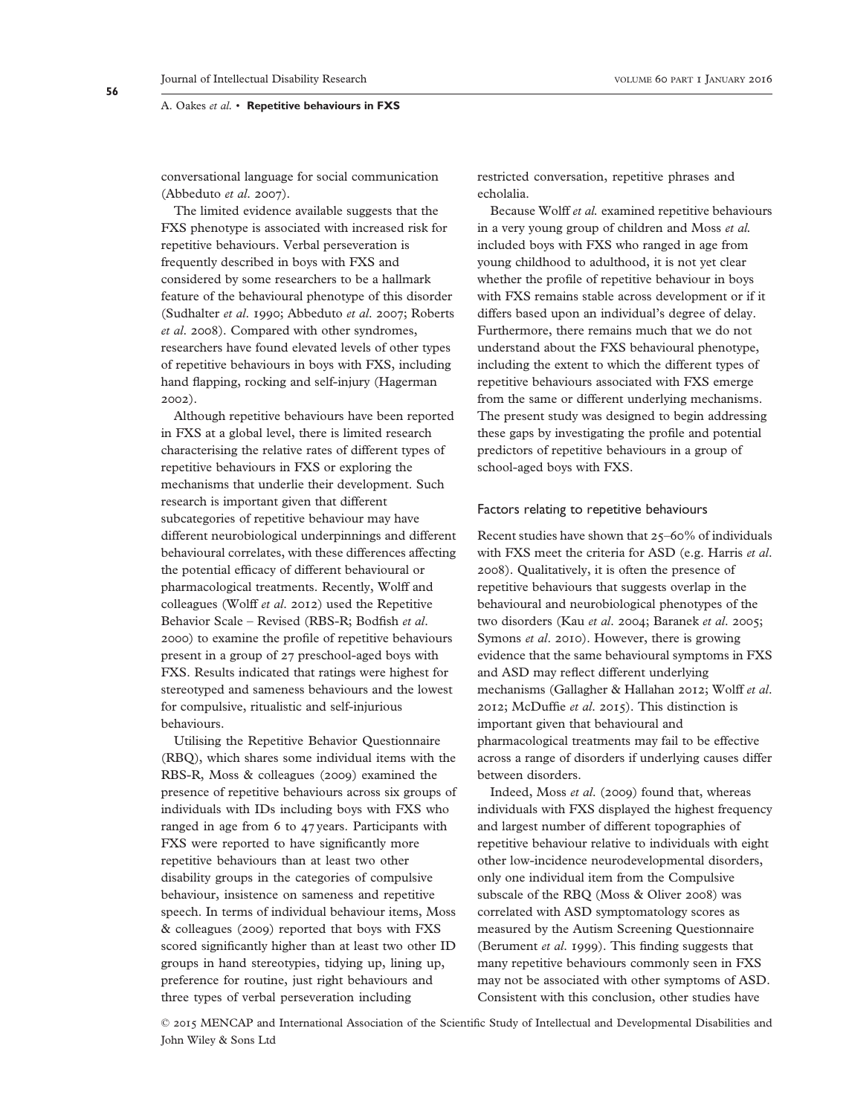conversational language for social communication (Abbeduto et al. 2007).

The limited evidence available suggests that the FXS phenotype is associated with increased risk for repetitive behaviours. Verbal perseveration is frequently described in boys with FXS and considered by some researchers to be a hallmark feature of the behavioural phenotype of this disorder (Sudhalter et al. 1990; Abbeduto et al. 2007; Roberts et al. 2008). Compared with other syndromes, researchers have found elevated levels of other types of repetitive behaviours in boys with FXS, including hand flapping, rocking and self-injury (Hagerman 2002).

Although repetitive behaviours have been reported in FXS at a global level, there is limited research characterising the relative rates of different types of repetitive behaviours in FXS or exploring the mechanisms that underlie their development. Such research is important given that different subcategories of repetitive behaviour may have different neurobiological underpinnings and different behavioural correlates, with these differences affecting the potential efficacy of different behavioural or pharmacological treatments. Recently, Wolff and colleagues (Wolff et al. 2012) used the Repetitive Behavior Scale – Revised (RBS-R; Bodfish et al. 2000) to examine the profile of repetitive behaviours present in a group of 27 preschool-aged boys with FXS. Results indicated that ratings were highest for stereotyped and sameness behaviours and the lowest for compulsive, ritualistic and self-injurious behaviours.

Utilising the Repetitive Behavior Questionnaire (RBQ), which shares some individual items with the RBS-R, Moss & colleagues (2009) examined the presence of repetitive behaviours across six groups of individuals with IDs including boys with FXS who ranged in age from 6 to 47 years. Participants with FXS were reported to have significantly more repetitive behaviours than at least two other disability groups in the categories of compulsive behaviour, insistence on sameness and repetitive speech. In terms of individual behaviour items, Moss & colleagues (2009) reported that boys with FXS scored significantly higher than at least two other ID groups in hand stereotypies, tidying up, lining up, preference for routine, just right behaviours and three types of verbal perseveration including

restricted conversation, repetitive phrases and echolalia.

Because Wolff et al. examined repetitive behaviours in a very young group of children and Moss et al. included boys with FXS who ranged in age from young childhood to adulthood, it is not yet clear whether the profile of repetitive behaviour in boys with FXS remains stable across development or if it differs based upon an individual's degree of delay. Furthermore, there remains much that we do not understand about the FXS behavioural phenotype, including the extent to which the different types of repetitive behaviours associated with FXS emerge from the same or different underlying mechanisms. The present study was designed to begin addressing these gaps by investigating the profile and potential predictors of repetitive behaviours in a group of school-aged boys with FXS.

### Factors relating to repetitive behaviours

Recent studies have shown that 25–60% of individuals with FXS meet the criteria for ASD (e.g. Harris et al. 2008). Qualitatively, it is often the presence of repetitive behaviours that suggests overlap in the behavioural and neurobiological phenotypes of the two disorders (Kau et al. 2004; Baranek et al. 2005; Symons et al. 2010). However, there is growing evidence that the same behavioural symptoms in FXS and ASD may reflect different underlying mechanisms (Gallagher & Hallahan 2012; Wolff et al. 2012; McDuffie et al. 2015). This distinction is important given that behavioural and pharmacological treatments may fail to be effective across a range of disorders if underlying causes differ between disorders.

Indeed, Moss et al. (2009) found that, whereas individuals with FXS displayed the highest frequency and largest number of different topographies of repetitive behaviour relative to individuals with eight other low-incidence neurodevelopmental disorders, only one individual item from the Compulsive subscale of the RBQ (Moss & Oliver 2008) was correlated with ASD symptomatology scores as measured by the Autism Screening Questionnaire (Berument et al. 1999). This finding suggests that many repetitive behaviours commonly seen in FXS may not be associated with other symptoms of ASD. Consistent with this conclusion, other studies have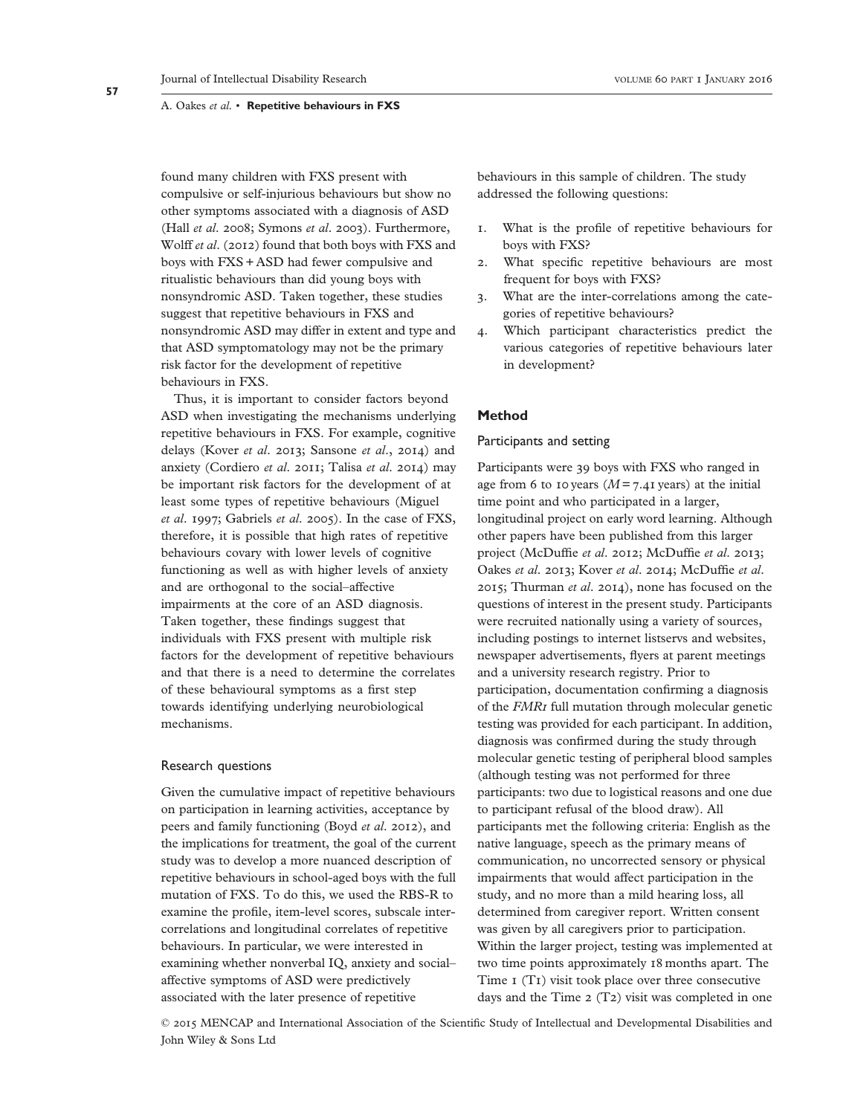found many children with FXS present with compulsive or self-injurious behaviours but show no other symptoms associated with a diagnosis of ASD (Hall et al. 2008; Symons et al. 2003). Furthermore, Wolff et al. (2012) found that both boys with FXS and boys with FXS + ASD had fewer compulsive and ritualistic behaviours than did young boys with nonsyndromic ASD. Taken together, these studies suggest that repetitive behaviours in FXS and nonsyndromic ASD may differ in extent and type and that ASD symptomatology may not be the primary risk factor for the development of repetitive behaviours in FXS.

Thus, it is important to consider factors beyond ASD when investigating the mechanisms underlying repetitive behaviours in FXS. For example, cognitive delays (Kover et al. 2013; Sansone et al., 2014) and anxiety (Cordiero et al. 2011; Talisa et al. 2014) may be important risk factors for the development of at least some types of repetitive behaviours (Miguel et al. 1997; Gabriels et al. 2005). In the case of FXS, therefore, it is possible that high rates of repetitive behaviours covary with lower levels of cognitive functioning as well as with higher levels of anxiety and are orthogonal to the social–affective impairments at the core of an ASD diagnosis. Taken together, these findings suggest that individuals with FXS present with multiple risk factors for the development of repetitive behaviours and that there is a need to determine the correlates of these behavioural symptoms as a first step towards identifying underlying neurobiological mechanisms.

# Research questions

Given the cumulative impact of repetitive behaviours on participation in learning activities, acceptance by peers and family functioning (Boyd et al. 2012), and the implications for treatment, the goal of the current study was to develop a more nuanced description of repetitive behaviours in school-aged boys with the full mutation of FXS. To do this, we used the RBS-R to examine the profile, item-level scores, subscale intercorrelations and longitudinal correlates of repetitive behaviours. In particular, we were interested in examining whether nonverbal IQ, anxiety and social– affective symptoms of ASD were predictively associated with the later presence of repetitive

behaviours in this sample of children. The study addressed the following questions:

- 1. What is the profile of repetitive behaviours for boys with FXS?
- 2. What specific repetitive behaviours are most frequent for boys with FXS?
- 3. What are the inter-correlations among the categories of repetitive behaviours?
- 4. Which participant characteristics predict the various categories of repetitive behaviours later in development?

# Method

# Participants and setting

Participants were 39 boys with FXS who ranged in age from 6 to 10 years ( $M = 7.41$  years) at the initial time point and who participated in a larger, longitudinal project on early word learning. Although other papers have been published from this larger project (McDuffie et al. 2012; McDuffie et al. 2013; Oakes et al. 2013; Kover et al. 2014; McDuffie et al. 2015; Thurman et al. 2014), none has focused on the questions of interest in the present study. Participants were recruited nationally using a variety of sources, including postings to internet listservs and websites, newspaper advertisements, flyers at parent meetings and a university research registry. Prior to participation, documentation confirming a diagnosis of the FMR1 full mutation through molecular genetic testing was provided for each participant. In addition, diagnosis was confirmed during the study through molecular genetic testing of peripheral blood samples (although testing was not performed for three participants: two due to logistical reasons and one due to participant refusal of the blood draw). All participants met the following criteria: English as the native language, speech as the primary means of communication, no uncorrected sensory or physical impairments that would affect participation in the study, and no more than a mild hearing loss, all determined from caregiver report. Written consent was given by all caregivers prior to participation. Within the larger project, testing was implemented at two time points approximately 18 months apart. The Time 1 (T1) visit took place over three consecutive days and the Time 2 (T2) visit was completed in one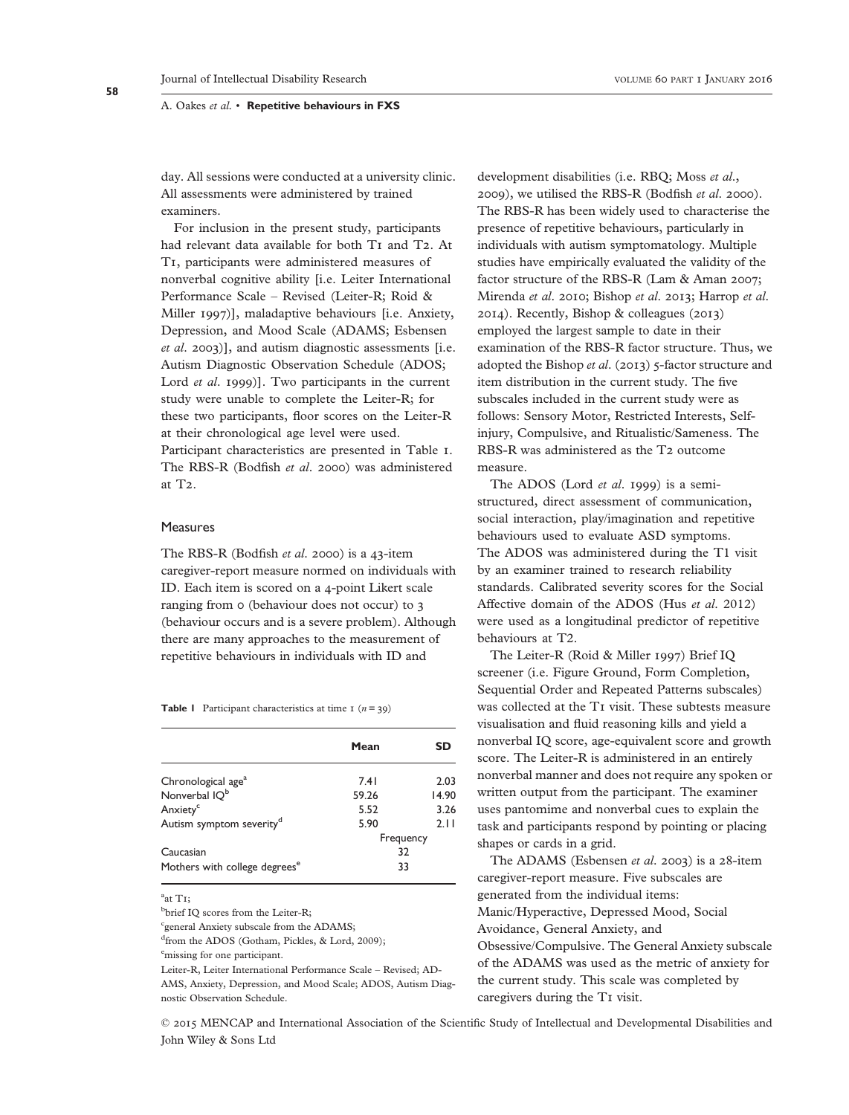day. All sessions were conducted at a university clinic. All assessments were administered by trained examiners.

For inclusion in the present study, participants had relevant data available for both T<sub>I</sub> and T<sub>2</sub>. At T1, participants were administered measures of nonverbal cognitive ability [i.e. Leiter International Performance Scale – Revised (Leiter-R; Roid & Miller 1997)], maladaptive behaviours [i.e. Anxiety, Depression, and Mood Scale (ADAMS; Esbensen et al. 2003)], and autism diagnostic assessments [i.e. Autism Diagnostic Observation Schedule (ADOS; Lord *et al.* 1999)]. Two participants in the current study were unable to complete the Leiter-R; for these two participants, floor scores on the Leiter-R at their chronological age level were used. Participant characteristics are presented in Table 1. The RBS-R (Bodfish et al. 2000) was administered at T2.

### Measures

The RBS-R (Bodfish et al. 2000) is a 43-item caregiver-report measure normed on individuals with ID. Each item is scored on a 4-point Likert scale ranging from 0 (behaviour does not occur) to 3 (behaviour occurs and is a severe problem). Although there are many approaches to the measurement of repetitive behaviours in individuals with ID and

**Table 1** Participant characteristics at time  $1 (n = 39)$ 

|                                           | Mean      | <b>SD</b> |  |
|-------------------------------------------|-----------|-----------|--|
| Chronological age <sup>a</sup>            | 7.41      | 2.03      |  |
| Nonverbal IQ <sup>b</sup>                 | 59.26     | 14.90     |  |
| Anxiety <sup>c</sup>                      | 5.52      | 3.26      |  |
| Autism symptom severity <sup>d</sup>      | 5.90      | 2.11      |  |
|                                           | Frequency |           |  |
| Caucasian                                 | 32        |           |  |
| Mothers with college degrees <sup>e</sup> | 33        |           |  |

<sup>a</sup>at T1;

<sup>b</sup>brief IQ scores from the Leiter-R;

<sup>c</sup>general Anxiety subscale from the ADAMS;

d from the ADOS (Gotham, Pickles, & Lord, 2009);

e<sub>missing</sub> for one participant.

Leiter-R, Leiter International Performance Scale – Revised; AD-AMS, Anxiety, Depression, and Mood Scale; ADOS, Autism Diagnostic Observation Schedule.

development disabilities (i.e. RBQ; Moss et al., 2009), we utilised the RBS-R (Bodfish et al. 2000). The RBS-R has been widely used to characterise the presence of repetitive behaviours, particularly in individuals with autism symptomatology. Multiple studies have empirically evaluated the validity of the factor structure of the RBS-R (Lam & Aman 2007; Mirenda et al. 2010; Bishop et al. 2013; Harrop et al. 2014). Recently, Bishop & colleagues (2013) employed the largest sample to date in their examination of the RBS-R factor structure. Thus, we adopted the Bishop et al. (2013) 5-factor structure and item distribution in the current study. The five subscales included in the current study were as follows: Sensory Motor, Restricted Interests, Selfinjury, Compulsive, and Ritualistic/Sameness. The RBS-R was administered as the T2 outcome measure.

The ADOS (Lord et al. 1999) is a semistructured, direct assessment of communication, social interaction, play/imagination and repetitive behaviours used to evaluate ASD symptoms. The ADOS was administered during the T1 visit by an examiner trained to research reliability standards. Calibrated severity scores for the Social Affective domain of the ADOS (Hus et al. 2012) were used as a longitudinal predictor of repetitive behaviours at T2.

The Leiter-R (Roid & Miller 1997) Brief IQ screener (i.e. Figure Ground, Form Completion, Sequential Order and Repeated Patterns subscales) was collected at the T1 visit. These subtests measure visualisation and fluid reasoning kills and yield a nonverbal IQ score, age-equivalent score and growth score. The Leiter-R is administered in an entirely nonverbal manner and does not require any spoken or written output from the participant. The examiner uses pantomime and nonverbal cues to explain the task and participants respond by pointing or placing shapes or cards in a grid.

The ADAMS (Esbensen et al. 2003) is a 28-item caregiver-report measure. Five subscales are generated from the individual items: Manic/Hyperactive, Depressed Mood, Social Avoidance, General Anxiety, and Obsessive/Compulsive. The General Anxiety subscale of the ADAMS was used as the metric of anxiety for the current study. This scale was completed by caregivers during the T1 visit.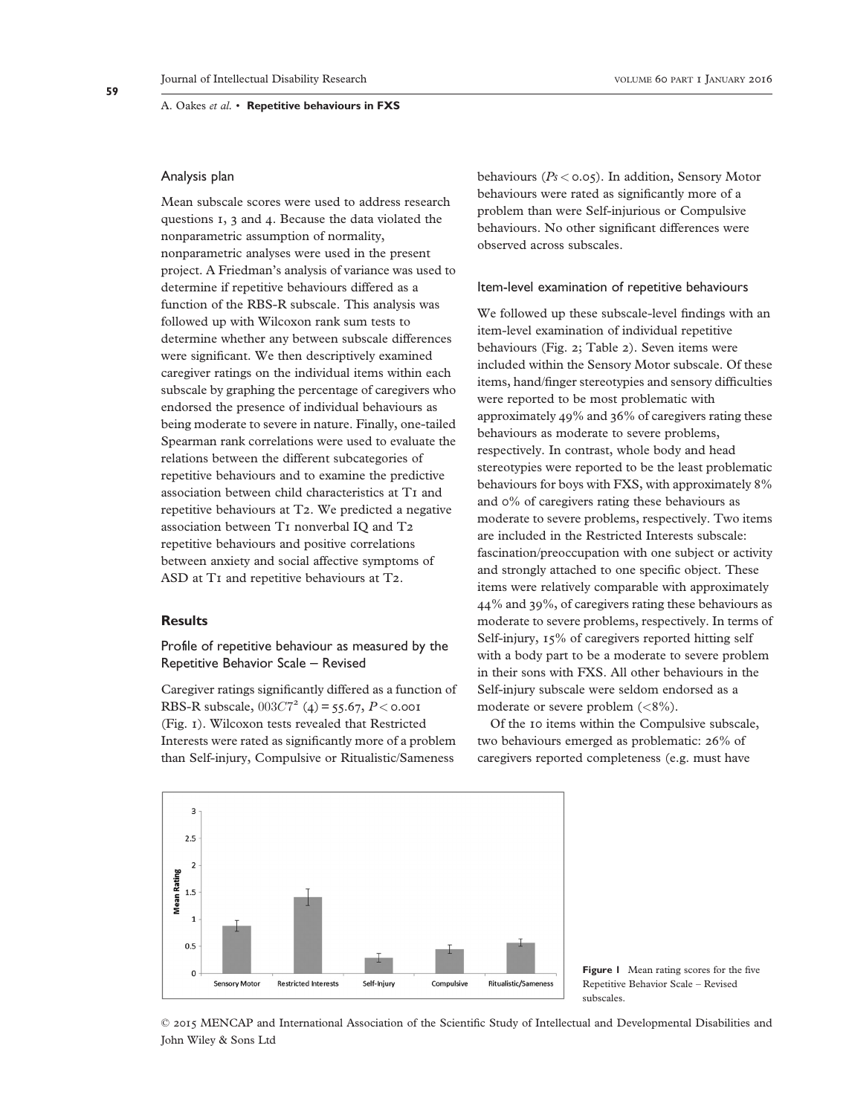# Analysis plan

Mean subscale scores were used to address research questions 1, 3 and 4. Because the data violated the nonparametric assumption of normality, nonparametric analyses were used in the present project. A Friedman's analysis of variance was used to determine if repetitive behaviours differed as a function of the RBS-R subscale. This analysis was followed up with Wilcoxon rank sum tests to determine whether any between subscale differences were significant. We then descriptively examined caregiver ratings on the individual items within each subscale by graphing the percentage of caregivers who endorsed the presence of individual behaviours as being moderate to severe in nature. Finally, one-tailed Spearman rank correlations were used to evaluate the relations between the different subcategories of repetitive behaviours and to examine the predictive association between child characteristics at T1 and repetitive behaviours at T2. We predicted a negative association between T1 nonverbal IQ and T2 repetitive behaviours and positive correlations between anxiety and social affective symptoms of ASD at T1 and repetitive behaviours at T2.

# **Results**

Profile of repetitive behaviour as measured by the Repetitive Behavior Scale – Revised

Caregiver ratings significantly differed as a function of RBS-R subscale,  $003C7^2$  (4) = 55.67, P < 0.001 (Fig. 1). Wilcoxon tests revealed that Restricted Interests were rated as significantly more of a problem than Self-injury, Compulsive or Ritualistic/Sameness

behaviours ( $Ps < 0.05$ ). In addition, Sensory Motor behaviours were rated as significantly more of a problem than were Self-injurious or Compulsive behaviours. No other significant differences were observed across subscales.

### Item-level examination of repetitive behaviours

We followed up these subscale-level findings with an item-level examination of individual repetitive behaviours (Fig. 2; Table 2). Seven items were included within the Sensory Motor subscale. Of these items, hand/finger stereotypies and sensory difficulties were reported to be most problematic with approximately 49% and 36% of caregivers rating these behaviours as moderate to severe problems, respectively. In contrast, whole body and head stereotypies were reported to be the least problematic behaviours for boys with FXS, with approximately 8% and 0% of caregivers rating these behaviours as moderate to severe problems, respectively. Two items are included in the Restricted Interests subscale: fascination/preoccupation with one subject or activity and strongly attached to one specific object. These items were relatively comparable with approximately 44% and 39%, of caregivers rating these behaviours as moderate to severe problems, respectively. In terms of Self-injury, 15% of caregivers reported hitting self with a body part to be a moderate to severe problem in their sons with FXS. All other behaviours in the Self-injury subscale were seldom endorsed as a moderate or severe problem (<8%).

Of the 10 items within the Compulsive subscale, two behaviours emerged as problematic: 26% of caregivers reported completeness (e.g. must have



Figure 1 Mean rating scores for the five Repetitive Behavior Scale – Revised subscales.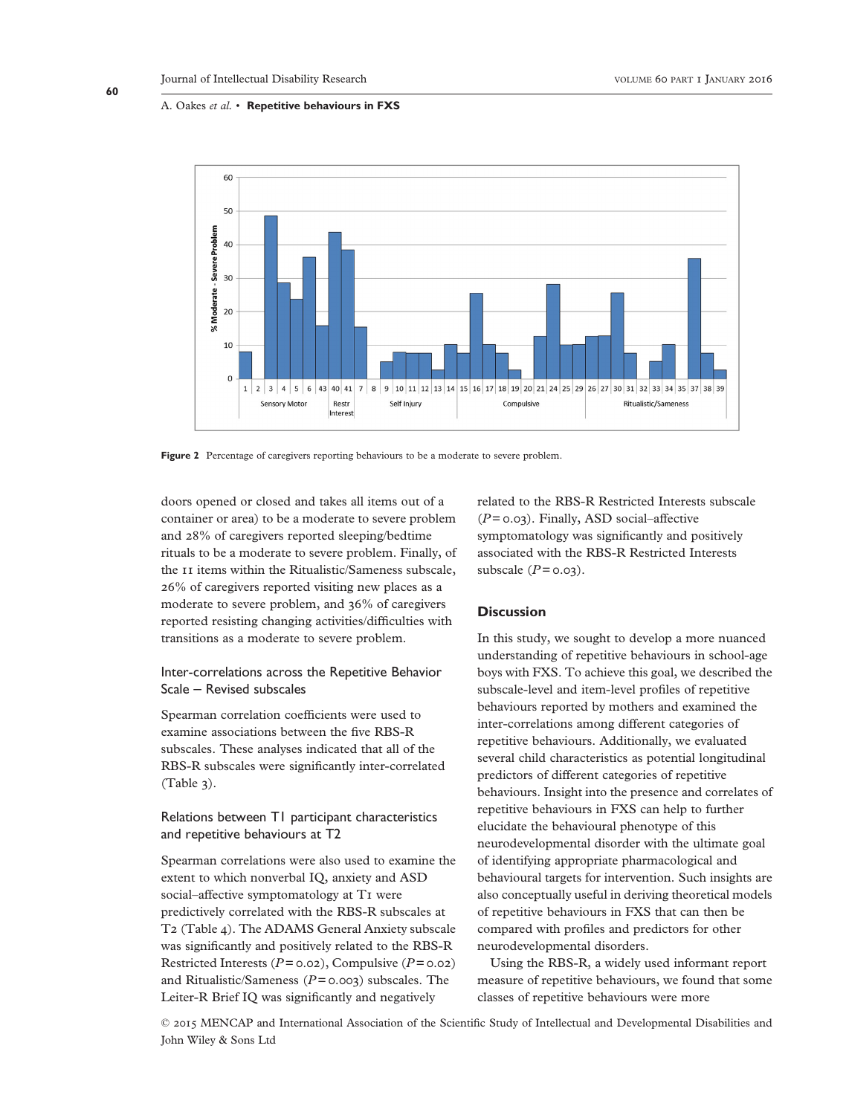

Figure 2 Percentage of caregivers reporting behaviours to be a moderate to severe problem.

doors opened or closed and takes all items out of a container or area) to be a moderate to severe problem and 28% of caregivers reported sleeping/bedtime rituals to be a moderate to severe problem. Finally, of the 11 items within the Ritualistic/Sameness subscale, 26% of caregivers reported visiting new places as a moderate to severe problem, and 36% of caregivers reported resisting changing activities/difficulties with transitions as a moderate to severe problem.

# Inter-correlations across the Repetitive Behavior Scale – Revised subscales

Spearman correlation coefficients were used to examine associations between the five RBS-R subscales. These analyses indicated that all of the RBS-R subscales were significantly inter-correlated (Table 3).

# Relations between T1 participant characteristics and repetitive behaviours at T2

Spearman correlations were also used to examine the extent to which nonverbal IQ, anxiety and ASD social–affective symptomatology at T1 were predictively correlated with the RBS-R subscales at T2 (Table 4). The ADAMS General Anxiety subscale was significantly and positively related to the RBS-R Restricted Interests ( $P = 0.02$ ), Compulsive ( $P = 0.02$ ) and Ritualistic/Sameness ( $P = 0.003$ ) subscales. The Leiter-R Brief IQ was significantly and negatively

related to the RBS-R Restricted Interests subscale  $(P= 0.03)$ . Finally, ASD social–affective symptomatology was significantly and positively associated with the RBS-R Restricted Interests subscale  $(P = 0.03)$ .

# **Discussion**

In this study, we sought to develop a more nuanced understanding of repetitive behaviours in school-age boys with FXS. To achieve this goal, we described the subscale-level and item-level profiles of repetitive behaviours reported by mothers and examined the inter-correlations among different categories of repetitive behaviours. Additionally, we evaluated several child characteristics as potential longitudinal predictors of different categories of repetitive behaviours. Insight into the presence and correlates of repetitive behaviours in FXS can help to further elucidate the behavioural phenotype of this neurodevelopmental disorder with the ultimate goal of identifying appropriate pharmacological and behavioural targets for intervention. Such insights are also conceptually useful in deriving theoretical models of repetitive behaviours in FXS that can then be compared with profiles and predictors for other neurodevelopmental disorders.

Using the RBS-R, a widely used informant report measure of repetitive behaviours, we found that some classes of repetitive behaviours were more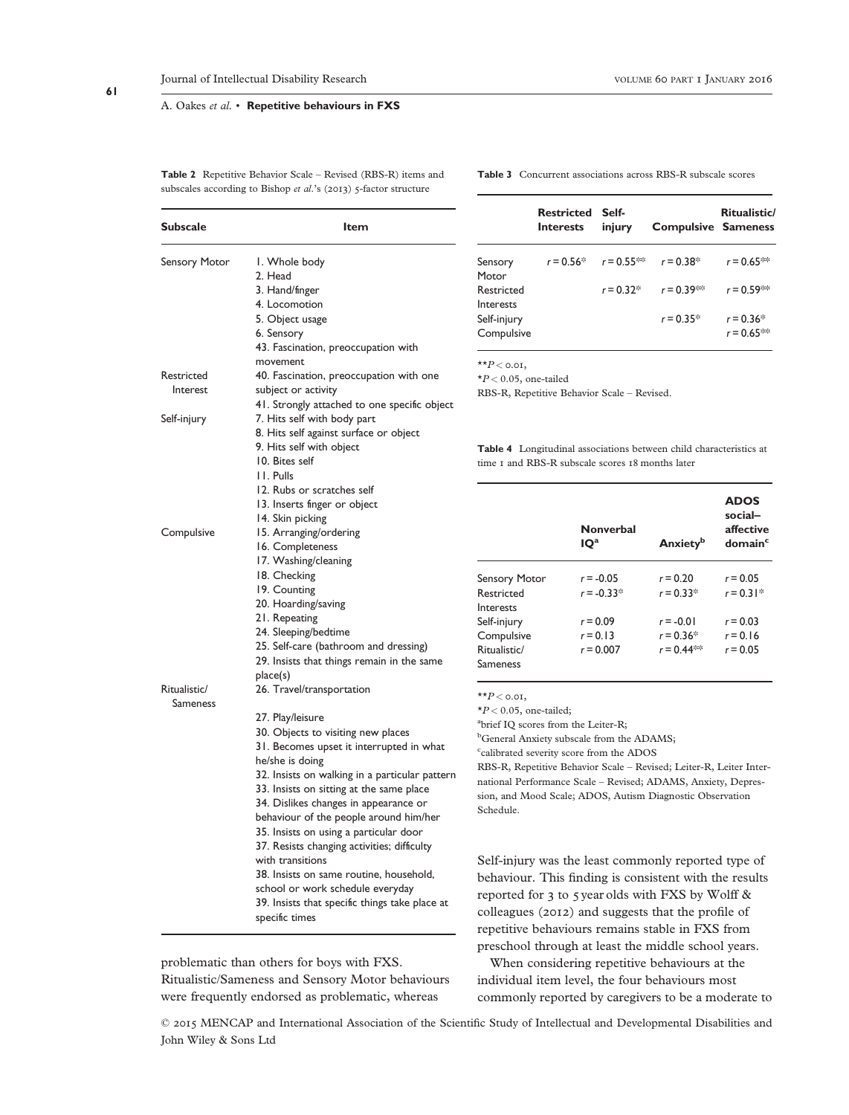Table 2 Repetitive Behavior Scale – Revised (RBS-R) items and subscales according to Bishop et al.'s (2013) 5-factor structure

Table 3 Concurrent associations across RBS-R subscale scores

| <b>Subscale</b>      | Item                                           |  |  |
|----------------------|------------------------------------------------|--|--|
| <b>Sensory Motor</b> | I. Whole body                                  |  |  |
|                      | 2. Head                                        |  |  |
|                      | 3. Hand/finger                                 |  |  |
|                      | 4. Locomotion                                  |  |  |
|                      | 5. Object usage                                |  |  |
|                      | 6. Sensory                                     |  |  |
|                      | 43. Fascination, preoccupation with            |  |  |
|                      | movement                                       |  |  |
| Restricted           | 40. Fascination, preoccupation with one        |  |  |
| Interest             | subject or activity                            |  |  |
|                      | 41. Strongly attached to one specific object   |  |  |
| Self-injury          | 7. Hits self with body part                    |  |  |
|                      | 8. Hits self against surface or object         |  |  |
|                      | 9. Hits self with object                       |  |  |
|                      | 10. Bites self                                 |  |  |
|                      | 11. Pulls                                      |  |  |
|                      | 12. Rubs or scratches self                     |  |  |
|                      | 13. Inserts finger or object                   |  |  |
|                      | 14. Skin picking                               |  |  |
| Compulsive           | 15. Arranging/ordering                         |  |  |
|                      | 16. Completeness                               |  |  |
|                      | 17. Washing/cleaning                           |  |  |
|                      | 18. Checking                                   |  |  |
|                      | 19. Counting                                   |  |  |
|                      | 20. Hoarding/saving                            |  |  |
|                      | 21. Repeating                                  |  |  |
|                      | 24. Sleeping/bedtime                           |  |  |
|                      | 25. Self-care (bathroom and dressing)          |  |  |
|                      | 29. Insists that things remain in the same     |  |  |
|                      | place(s)                                       |  |  |
| Ritualistic/         | 26. Travel/transportation                      |  |  |
| Sameness             |                                                |  |  |
|                      | 27. Play/leisure                               |  |  |
|                      | 30. Objects to visiting new places             |  |  |
|                      | 31. Becomes upset it interrupted in what       |  |  |
|                      | he/she is doing                                |  |  |
|                      | 32. Insists on walking in a particular pattern |  |  |
|                      | 33. Insists on sitting at the same place       |  |  |
|                      | 34. Dislikes changes in appearance or          |  |  |
|                      | behaviour of the people around him/her         |  |  |
|                      | 35. Insists on using a particular door         |  |  |
|                      | 37. Resists changing activities; difficulty    |  |  |
|                      | with transitions                               |  |  |
|                      | 38. Insists on same routine, household,        |  |  |
|                      | school or work schedule everyday               |  |  |
|                      | 39. Insists that specific things take place at |  |  |
|                      | specific times                                 |  |  |

problematic than others for boys with FXS. Ritualistic/Sameness and Sensory Motor behaviours were frequently endorsed as problematic, whereas

Restricted Self-Interests injury Compulsive Sameness Ritualistic/ nsory ntor  $r = 0.56*$   $r = 0.55**$   $r = 0.38*$   $r = 0.65**$ **stricted** terests  $r = 0.32^*$   $r = 0.39^{**}$   $r = 0.59^{**}$ If-injury  $r = 0.35^*$   $r = 0.36^*$  $r = 0.65**$ 

 $P <$  0.01,

 $\ge$  0.05, one-tailed

RBS-R, Repetitive Behavior Scale – Revised.

able 4 Longitudinal associations between child characteristics at ne I and RBS-R subscale scores 18 months later

|                      | <b>Nonverbal</b><br>IQ <sup>a</sup> | <b>Anxiety</b> <sup>b</sup> | <b>ADOS</b><br>social-<br>affective<br>domain <sup>c</sup> |
|----------------------|-------------------------------------|-----------------------------|------------------------------------------------------------|
| <b>Sensory Motor</b> | $r = -0.05$                         | $r = 0.20$                  | $r = 0.05$                                                 |
| Restricted           | $r = -0.33*$                        | $r = 0.33*$                 | $r = 0.31*$                                                |
| Interests            |                                     |                             |                                                            |
| Self-injury          | $r = 0.09$                          | $r = -0.01$                 | $r = 0.03$                                                 |
| Compulsive           | $r = 0.13$                          | $r = 0.36*$                 | $r = 0.16$                                                 |
| Ritualistic/         | $r = 0.007$                         | $r = 0.44$ **               | $r = 0.05$                                                 |
| <b>Sameness</b>      |                                     |                             |                                                            |

 $P <$  0.01,

 $\ge$  0.05, one-tailed;

rief IQ scores from the Leiter-R;

General Anxiety subscale from the ADAMS;

alibrated severity score from the ADOS

RBS-R, Repetitive Behavior Scale – Revised; Leiter-R, Leiter Intertional Performance Scale – Revised; ADAMS, Anxiety, Depression, and Mood Scale; ADOS, Autism Diagnostic Observation hedule.

elf-injury was the least commonly reported type of behaviour. This finding is consistent with the results ported for 3 to 5 year olds with FXS by Wolff  $\&$ lleagues (2012) and suggests that the profile of repetitive behaviours remains stable in FXS from preschool through at least the middle school years.

When considering repetitive behaviours at the individual item level, the four behaviours most commonly reported by caregivers to be a moderate to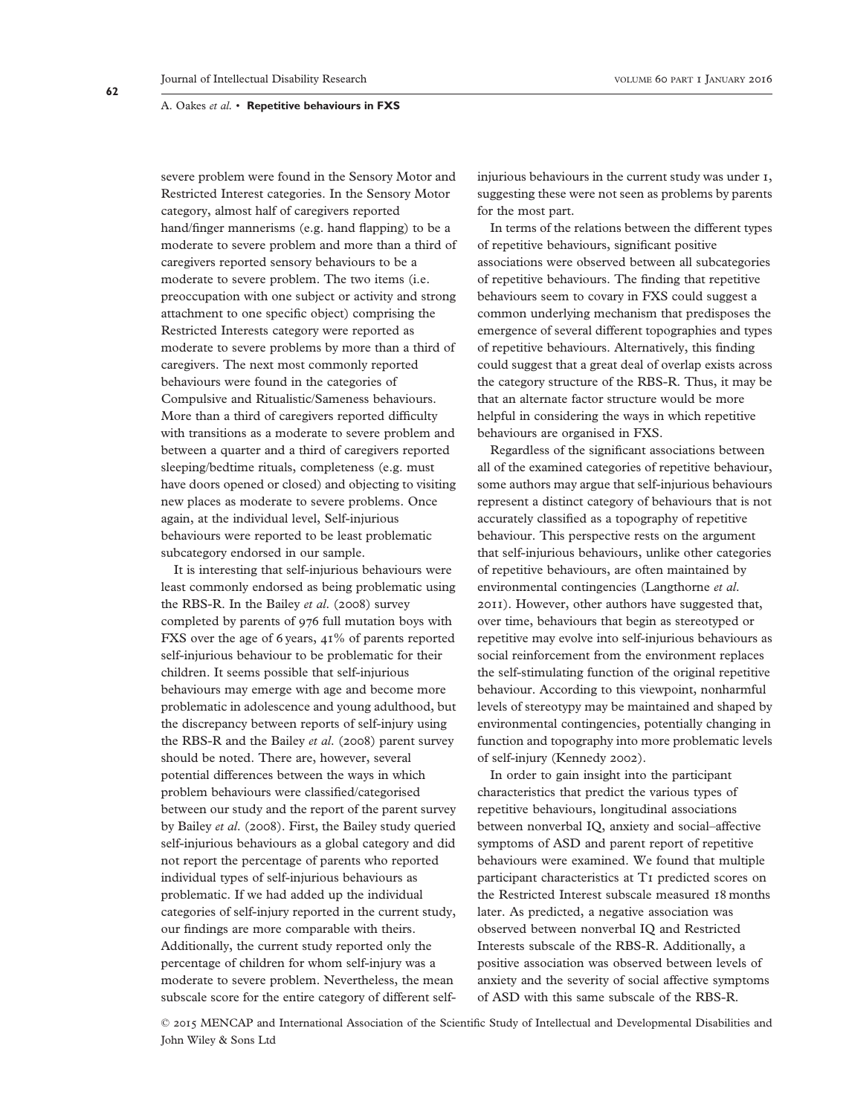severe problem were found in the Sensory Motor and Restricted Interest categories. In the Sensory Motor category, almost half of caregivers reported hand/finger mannerisms (e.g. hand flapping) to be a moderate to severe problem and more than a third of caregivers reported sensory behaviours to be a moderate to severe problem. The two items (i.e. preoccupation with one subject or activity and strong attachment to one specific object) comprising the Restricted Interests category were reported as moderate to severe problems by more than a third of caregivers. The next most commonly reported behaviours were found in the categories of Compulsive and Ritualistic/Sameness behaviours. More than a third of caregivers reported difficulty with transitions as a moderate to severe problem and between a quarter and a third of caregivers reported sleeping/bedtime rituals, completeness (e.g. must have doors opened or closed) and objecting to visiting new places as moderate to severe problems. Once again, at the individual level, Self-injurious behaviours were reported to be least problematic subcategory endorsed in our sample.

It is interesting that self-injurious behaviours were least commonly endorsed as being problematic using the RBS-R. In the Bailey et al. (2008) survey completed by parents of 976 full mutation boys with FXS over the age of 6 years, 41% of parents reported self-injurious behaviour to be problematic for their children. It seems possible that self-injurious behaviours may emerge with age and become more problematic in adolescence and young adulthood, but the discrepancy between reports of self-injury using the RBS-R and the Bailey et al. (2008) parent survey should be noted. There are, however, several potential differences between the ways in which problem behaviours were classified/categorised between our study and the report of the parent survey by Bailey et al. (2008). First, the Bailey study queried self-injurious behaviours as a global category and did not report the percentage of parents who reported individual types of self-injurious behaviours as problematic. If we had added up the individual categories of self-injury reported in the current study, our findings are more comparable with theirs. Additionally, the current study reported only the percentage of children for whom self-injury was a moderate to severe problem. Nevertheless, the mean subscale score for the entire category of different selfinjurious behaviours in the current study was under 1, suggesting these were not seen as problems by parents for the most part.

In terms of the relations between the different types of repetitive behaviours, significant positive associations were observed between all subcategories of repetitive behaviours. The finding that repetitive behaviours seem to covary in FXS could suggest a common underlying mechanism that predisposes the emergence of several different topographies and types of repetitive behaviours. Alternatively, this finding could suggest that a great deal of overlap exists across the category structure of the RBS-R. Thus, it may be that an alternate factor structure would be more helpful in considering the ways in which repetitive behaviours are organised in FXS.

Regardless of the significant associations between all of the examined categories of repetitive behaviour, some authors may argue that self-injurious behaviours represent a distinct category of behaviours that is not accurately classified as a topography of repetitive behaviour. This perspective rests on the argument that self-injurious behaviours, unlike other categories of repetitive behaviours, are often maintained by environmental contingencies (Langthorne et al. 2011). However, other authors have suggested that, over time, behaviours that begin as stereotyped or repetitive may evolve into self-injurious behaviours as social reinforcement from the environment replaces the self-stimulating function of the original repetitive behaviour. According to this viewpoint, nonharmful levels of stereotypy may be maintained and shaped by environmental contingencies, potentially changing in function and topography into more problematic levels of self-injury (Kennedy 2002).

In order to gain insight into the participant characteristics that predict the various types of repetitive behaviours, longitudinal associations between nonverbal IQ, anxiety and social–affective symptoms of ASD and parent report of repetitive behaviours were examined. We found that multiple participant characteristics at T1 predicted scores on the Restricted Interest subscale measured 18 months later. As predicted, a negative association was observed between nonverbal IQ and Restricted Interests subscale of the RBS-R. Additionally, a positive association was observed between levels of anxiety and the severity of social affective symptoms of ASD with this same subscale of the RBS-R.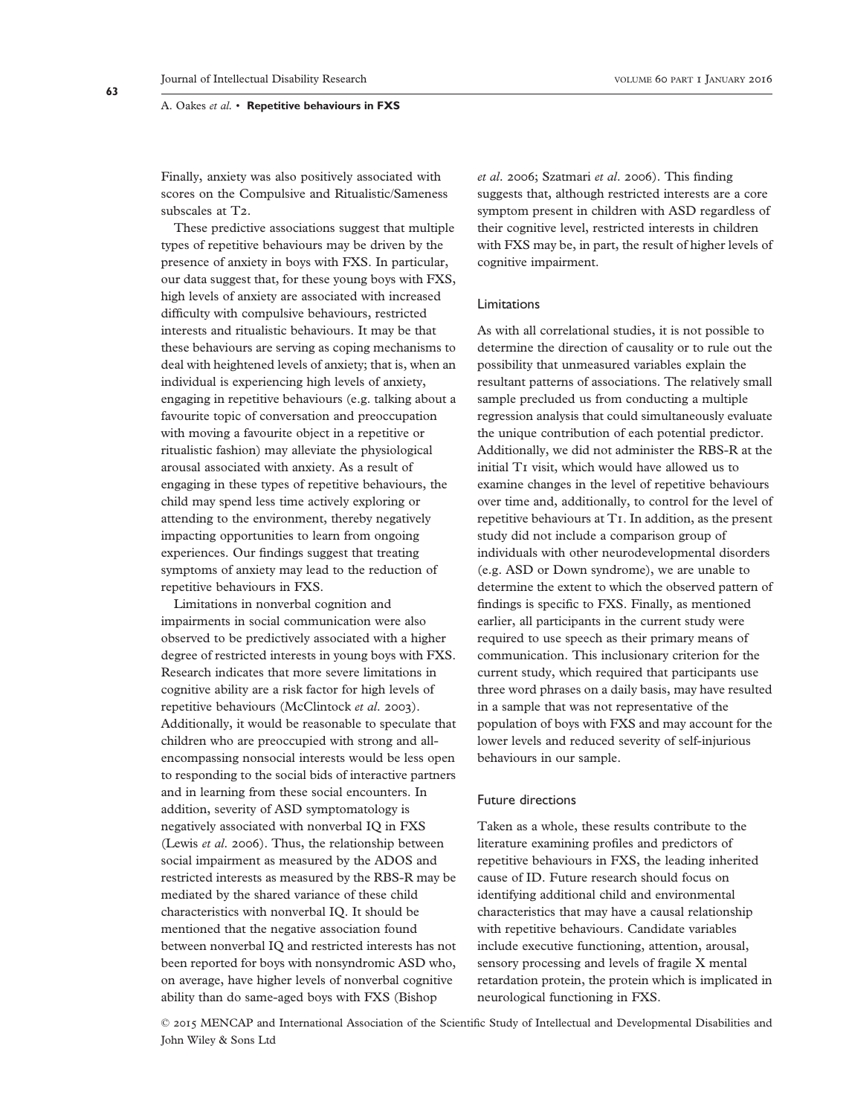Finally, anxiety was also positively associated with scores on the Compulsive and Ritualistic/Sameness subscales at T<sub>2</sub>.

These predictive associations suggest that multiple types of repetitive behaviours may be driven by the presence of anxiety in boys with FXS. In particular, our data suggest that, for these young boys with FXS, high levels of anxiety are associated with increased difficulty with compulsive behaviours, restricted interests and ritualistic behaviours. It may be that these behaviours are serving as coping mechanisms to deal with heightened levels of anxiety; that is, when an individual is experiencing high levels of anxiety, engaging in repetitive behaviours (e.g. talking about a favourite topic of conversation and preoccupation with moving a favourite object in a repetitive or ritualistic fashion) may alleviate the physiological arousal associated with anxiety. As a result of engaging in these types of repetitive behaviours, the child may spend less time actively exploring or attending to the environment, thereby negatively impacting opportunities to learn from ongoing experiences. Our findings suggest that treating symptoms of anxiety may lead to the reduction of repetitive behaviours in FXS.

Limitations in nonverbal cognition and impairments in social communication were also observed to be predictively associated with a higher degree of restricted interests in young boys with FXS. Research indicates that more severe limitations in cognitive ability are a risk factor for high levels of repetitive behaviours (McClintock et al. 2003). Additionally, it would be reasonable to speculate that children who are preoccupied with strong and allencompassing nonsocial interests would be less open to responding to the social bids of interactive partners and in learning from these social encounters. In addition, severity of ASD symptomatology is negatively associated with nonverbal IQ in FXS (Lewis et al. 2006). Thus, the relationship between social impairment as measured by the ADOS and restricted interests as measured by the RBS-R may be mediated by the shared variance of these child characteristics with nonverbal IQ. It should be mentioned that the negative association found between nonverbal IQ and restricted interests has not been reported for boys with nonsyndromic ASD who, on average, have higher levels of nonverbal cognitive ability than do same-aged boys with FXS (Bishop

et al. 2006; Szatmari et al. 2006). This finding suggests that, although restricted interests are a core symptom present in children with ASD regardless of their cognitive level, restricted interests in children with FXS may be, in part, the result of higher levels of cognitive impairment.

#### Limitations

As with all correlational studies, it is not possible to determine the direction of causality or to rule out the possibility that unmeasured variables explain the resultant patterns of associations. The relatively small sample precluded us from conducting a multiple regression analysis that could simultaneously evaluate the unique contribution of each potential predictor. Additionally, we did not administer the RBS-R at the initial T1 visit, which would have allowed us to examine changes in the level of repetitive behaviours over time and, additionally, to control for the level of repetitive behaviours at T1. In addition, as the present study did not include a comparison group of individuals with other neurodevelopmental disorders (e.g. ASD or Down syndrome), we are unable to determine the extent to which the observed pattern of findings is specific to FXS. Finally, as mentioned earlier, all participants in the current study were required to use speech as their primary means of communication. This inclusionary criterion for the current study, which required that participants use three word phrases on a daily basis, may have resulted in a sample that was not representative of the population of boys with FXS and may account for the lower levels and reduced severity of self-injurious behaviours in our sample.

## Future directions

Taken as a whole, these results contribute to the literature examining profiles and predictors of repetitive behaviours in FXS, the leading inherited cause of ID. Future research should focus on identifying additional child and environmental characteristics that may have a causal relationship with repetitive behaviours. Candidate variables include executive functioning, attention, arousal, sensory processing and levels of fragile X mental retardation protein, the protein which is implicated in neurological functioning in FXS.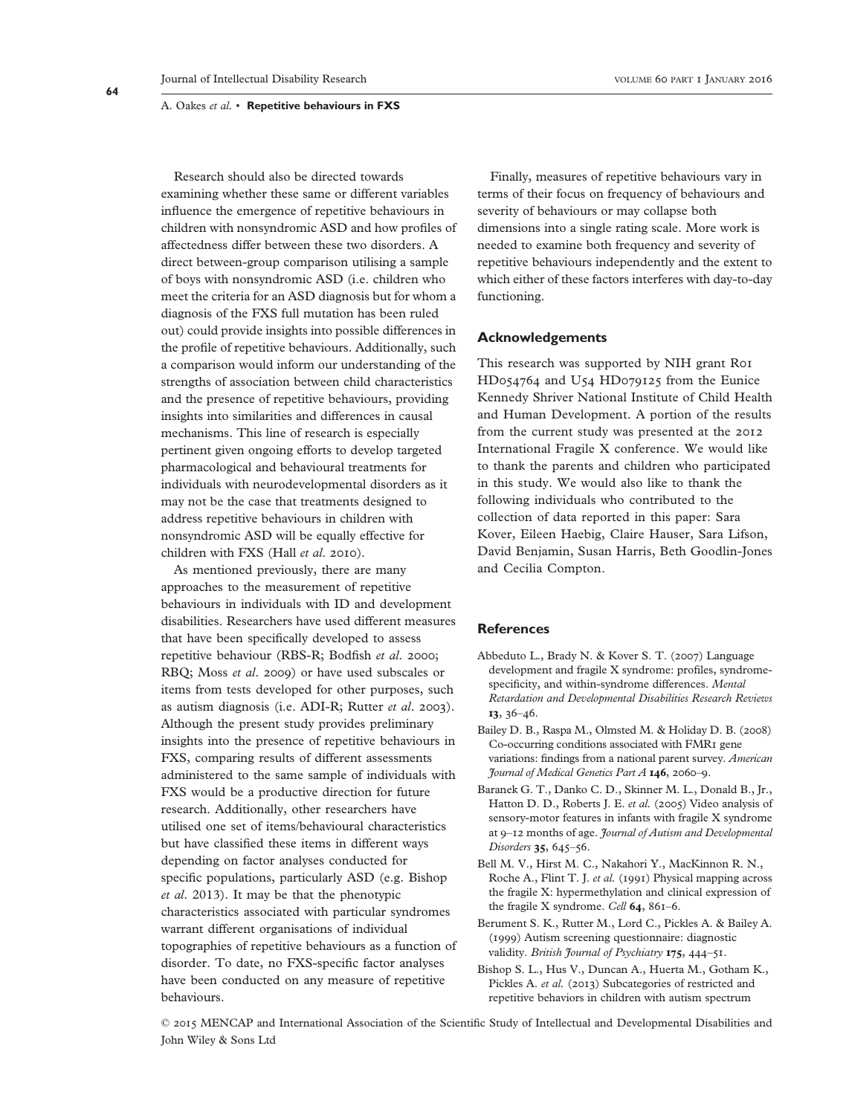Research should also be directed towards examining whether these same or different variables influence the emergence of repetitive behaviours in children with nonsyndromic ASD and how profiles of affectedness differ between these two disorders. A direct between-group comparison utilising a sample of boys with nonsyndromic ASD (i.e. children who meet the criteria for an ASD diagnosis but for whom a diagnosis of the FXS full mutation has been ruled out) could provide insights into possible differences in the profile of repetitive behaviours. Additionally, such a comparison would inform our understanding of the strengths of association between child characteristics and the presence of repetitive behaviours, providing insights into similarities and differences in causal mechanisms. This line of research is especially pertinent given ongoing efforts to develop targeted pharmacological and behavioural treatments for individuals with neurodevelopmental disorders as it may not be the case that treatments designed to address repetitive behaviours in children with nonsyndromic ASD will be equally effective for children with FXS (Hall et al. 2010).

As mentioned previously, there are many approaches to the measurement of repetitive behaviours in individuals with ID and development disabilities. Researchers have used different measures that have been specifically developed to assess repetitive behaviour (RBS-R; Bodfish et al. 2000; RBQ; Moss et al. 2009) or have used subscales or items from tests developed for other purposes, such as autism diagnosis (i.e. ADI-R; Rutter et al. 2003). Although the present study provides preliminary insights into the presence of repetitive behaviours in FXS, comparing results of different assessments administered to the same sample of individuals with FXS would be a productive direction for future research. Additionally, other researchers have utilised one set of items/behavioural characteristics but have classified these items in different ways depending on factor analyses conducted for specific populations, particularly ASD (e.g. Bishop et al. 2013). It may be that the phenotypic characteristics associated with particular syndromes warrant different organisations of individual topographies of repetitive behaviours as a function of disorder. To date, no FXS-specific factor analyses have been conducted on any measure of repetitive behaviours.

Finally, measures of repetitive behaviours vary in terms of their focus on frequency of behaviours and severity of behaviours or may collapse both dimensions into a single rating scale. More work is needed to examine both frequency and severity of repetitive behaviours independently and the extent to which either of these factors interferes with day-to-day functioning.

### Acknowledgements

This research was supported by NIH grant R01 HD054764 and U54 HD079125 from the Eunice Kennedy Shriver National Institute of Child Health and Human Development. A portion of the results from the current study was presented at the 2012 International Fragile X conference. We would like to thank the parents and children who participated in this study. We would also like to thank the following individuals who contributed to the collection of data reported in this paper: Sara Kover, Eileen Haebig, Claire Hauser, Sara Lifson, David Benjamin, Susan Harris, Beth Goodlin-Jones and Cecilia Compton.

# **References**

- Abbeduto L., Brady N. & Kover S. T. (2007) Language development and fragile X syndrome: profiles, syndromespecificity, and within-syndrome differences. Mental Retardation and Developmental Disabilities Research Reviews 13, 36–46.
- Bailey D. B., Raspa M., Olmsted M. & Holiday D. B. (2008) Co-occurring conditions associated with FMR1 gene variations: findings from a national parent survey. American Journal of Medical Genetics Part A 146, 2060–9.
- Baranek G. T., Danko C. D., Skinner M. L., Donald B., Jr., Hatton D. D., Roberts J. E. et al. (2005) Video analysis of sensory-motor features in infants with fragile X syndrome at 9–12 months of age. Journal of Autism and Developmental Disorders 35, 645–56.
- Bell M. V., Hirst M. C., Nakahori Y., MacKinnon R. N., Roche A., Flint T. J. et al. (1991) Physical mapping across the fragile X: hypermethylation and clinical expression of the fragile X syndrome. Cell 64, 861-6.
- Berument S. K., Rutter M., Lord C., Pickles A. & Bailey A. (1999) Autism screening questionnaire: diagnostic validity. British Journal of Psychiatry 175, 444-51.
- Bishop S. L., Hus V., Duncan A., Huerta M., Gotham K., Pickles A. et al. (2013) Subcategories of restricted and repetitive behaviors in children with autism spectrum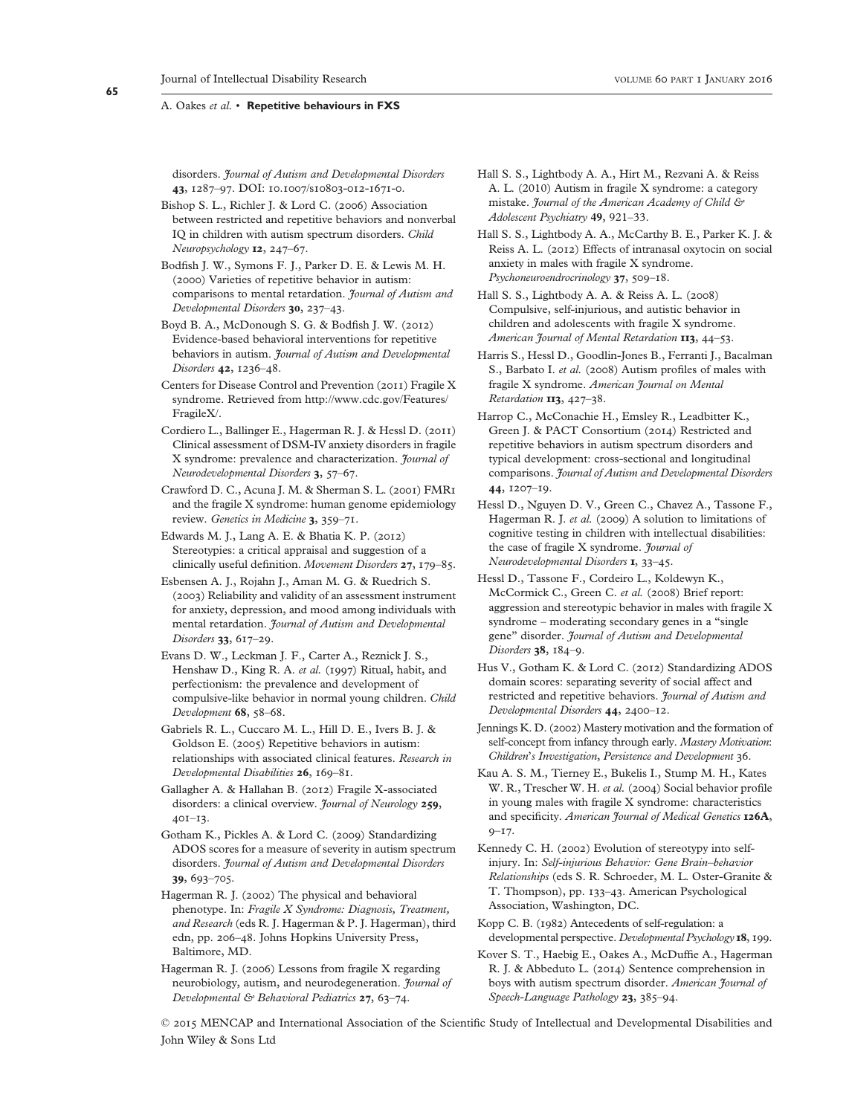disorders. Journal of Autism and Developmental Disorders 43, 1287–97. DOI: 10.1007/s10803-012-1671-0.

Bishop S. L., Richler J. & Lord C. (2006) Association between restricted and repetitive behaviors and nonverbal IQ in children with autism spectrum disorders. Child Neuropsychology 12, 247–67.

Bodfish J. W., Symons F. J., Parker D. E. & Lewis M. H. (2000) Varieties of repetitive behavior in autism: comparisons to mental retardation. Journal of Autism and Developmental Disorders 30, 237–43.

Boyd B. A., McDonough S. G. & Bodfish J. W. (2012) Evidence-based behavioral interventions for repetitive behaviors in autism. Journal of Autism and Developmental Disorders 42, 1236–48.

Centers for Disease Control and Prevention (2011) Fragile X syndrome. Retrieved from [http://www.cdc.gov/Features/](http://www.cdc.gov/Features/FragileX/) [FragileX/](http://www.cdc.gov/Features/FragileX/).

- Cordiero L., Ballinger E., Hagerman R. J. & Hessl D. (2011) Clinical assessment of DSM-IV anxiety disorders in fragile X syndrome: prevalence and characterization. Journal of Neurodevelopmental Disorders 3, 57–67.
- Crawford D. C., Acuna J. M. & Sherman S. L. (2001) FMR1 and the fragile X syndrome: human genome epidemiology review. Genetics in Medicine 3, 359–71.

Edwards M. J., Lang A. E. & Bhatia K. P. (2012) Stereotypies: a critical appraisal and suggestion of a clinically useful definition. Movement Disorders 27, 179–85.

Esbensen A. J., Rojahn J., Aman M. G. & Ruedrich S. (2003) Reliability and validity of an assessment instrument for anxiety, depression, and mood among individuals with mental retardation. Journal of Autism and Developmental Disorders 33, 617–29.

Evans D. W., Leckman J. F., Carter A., Reznick J. S., Henshaw D., King R. A. et al. (1997) Ritual, habit, and perfectionism: the prevalence and development of compulsive-like behavior in normal young children. Child Development 68, 58–68.

Gabriels R. L., Cuccaro M. L., Hill D. E., Ivers B. J. & Goldson E. (2005) Repetitive behaviors in autism: relationships with associated clinical features. Research in Developmental Disabilities 26, 169–81.

Gallagher A. & Hallahan B. (2012) Fragile X-associated disorders: a clinical overview. *Journal of Neurology* 259, 401–13.

Gotham K., Pickles A. & Lord C. (2009) Standardizing ADOS scores for a measure of severity in autism spectrum disorders. Journal of Autism and Developmental Disorders 39, 693–705.

Hagerman R. J. (2002) The physical and behavioral phenotype. In: Fragile X Syndrome: Diagnosis, Treatment, and Research (eds R. J. Hagerman & P. J. Hagerman), third edn, pp. 206–48. Johns Hopkins University Press, Baltimore, MD.

Hagerman R. J. (2006) Lessons from fragile X regarding neurobiology, autism, and neurodegeneration. *Journal of* Developmental & Behavioral Pediatrics 27, 63–74.

Hall S. S., Lightbody A. A., Hirt M., Rezvani A. & Reiss A. L. (2010) Autism in fragile X syndrome: a category mistake. Journal of the American Academy of Child & Adolescent Psychiatry 49, 921–33.

Hall S. S., Lightbody A. A., McCarthy B. E., Parker K. J. & Reiss A. L. (2012) Effects of intranasal oxytocin on social anxiety in males with fragile X syndrome. Psychoneuroendrocrinology 37, 509–18.

Hall S. S., Lightbody A. A. & Reiss A. L. (2008) Compulsive, self-injurious, and autistic behavior in children and adolescents with fragile X syndrome. American Journal of Mental Retardation 113, 44-53.

Harris S., Hessl D., Goodlin-Jones B., Ferranti J., Bacalman S., Barbato I. et al. (2008) Autism profiles of males with fragile X syndrome. American Journal on Mental Retardation 113, 427-38.

Harrop C., McConachie H., Emsley R., Leadbitter K., Green J. & PACT Consortium (2014) Restricted and repetitive behaviors in autism spectrum disorders and typical development: cross-sectional and longitudinal comparisons. Journal of Autism and Developmental Disorders 44, 1207–19.

Hessl D., Nguyen D. V., Green C., Chavez A., Tassone F., Hagerman R. J. et al. (2009) A solution to limitations of cognitive testing in children with intellectual disabilities: the case of fragile X syndrome. Journal of Neurodevelopmental Disorders 1, 33–45.

Hessl D., Tassone F., Cordeiro L., Koldewyn K., McCormick C., Green C. et al. (2008) Brief report: aggression and stereotypic behavior in males with fragile X syndrome – moderating secondary genes in a "single gene" disorder. Journal of Autism and Developmental Disorders 38, 184-9.

Hus V., Gotham K. & Lord C. (2012) Standardizing ADOS domain scores: separating severity of social affect and restricted and repetitive behaviors. Journal of Autism and Developmental Disorders 44, 2400–12.

Jennings K. D. (2002) Mastery motivation and the formation of self-concept from infancy through early. Mastery Motivation: Children's Investigation, Persistence and Development 36.

Kau A. S. M., Tierney E., Bukelis I., Stump M. H., Kates W. R., Trescher W. H. et al. (2004) Social behavior profile in young males with fragile X syndrome: characteristics and specificity. American Journal of Medical Genetics 126A, 9–17.

Kennedy C. H. (2002) Evolution of stereotypy into selfinjury. In: Self-injurious Behavior: Gene Brain–behavior Relationships (eds S. R. Schroeder, M. L. Oster-Granite & T. Thompson), pp. 133–43. American Psychological Association, Washington, DC.

Kopp C. B. (1982) Antecedents of self-regulation: a developmental perspective. Developmental Psychology 18, 199.

Kover S. T., Haebig E., Oakes A., McDuffie A., Hagerman R. J. & Abbeduto L. (2014) Sentence comprehension in boys with autism spectrum disorder. American Journal of Speech-Language Pathology 23, 385-94.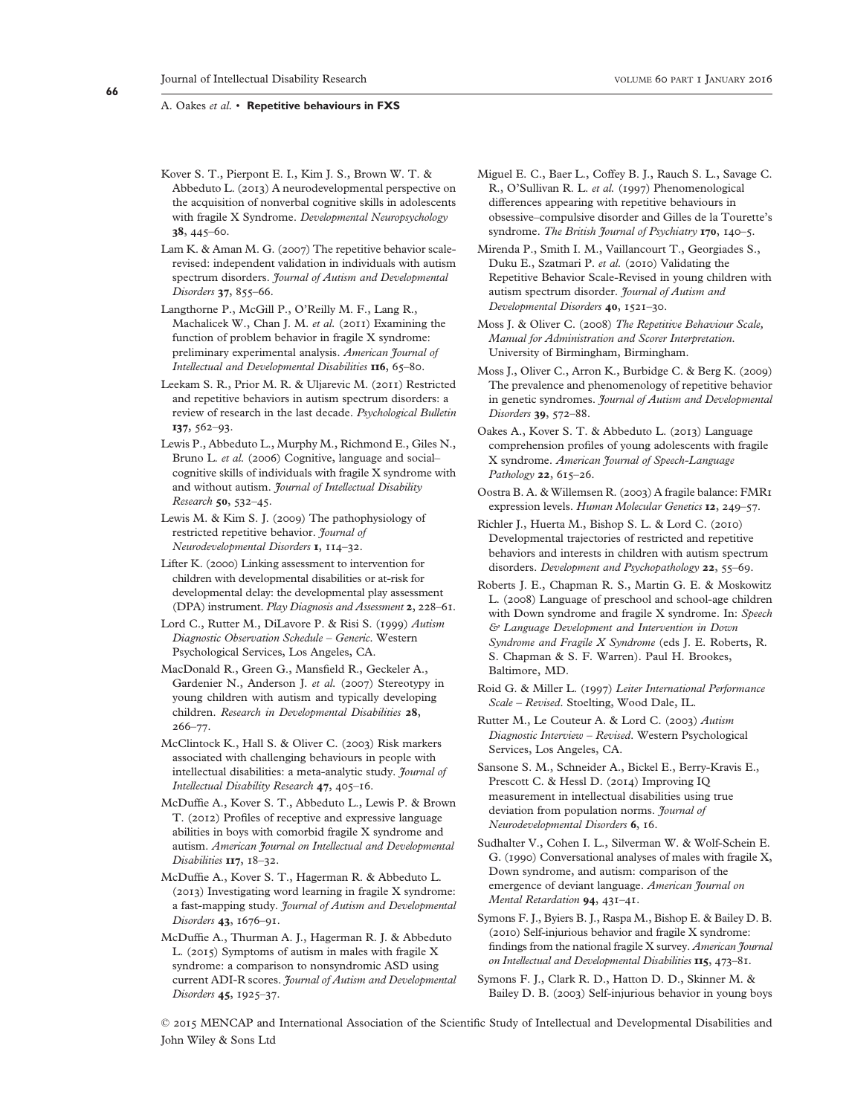Kover S. T., Pierpont E. I., Kim J. S., Brown W. T. & Abbeduto L. (2013) A neurodevelopmental perspective on the acquisition of nonverbal cognitive skills in adolescents with fragile X Syndrome. Developmental Neuropsychology 38, 445–60.

Lam K. & Aman M. G. (2007) The repetitive behavior scalerevised: independent validation in individuals with autism spectrum disorders. Journal of Autism and Developmental Disorders 37, 855-66.

- Langthorne P., McGill P., O'Reilly M. F., Lang R., Machalicek W., Chan J. M. et al. (2011) Examining the function of problem behavior in fragile X syndrome: preliminary experimental analysis. American Journal of Intellectual and Developmental Disabilities **116**, 65-80.
- Leekam S. R., Prior M. R. & Uljarevic M. (2011) Restricted and repetitive behaviors in autism spectrum disorders: a review of research in the last decade. Psychological Bulletin 137, 562–93.
- Lewis P., Abbeduto L., Murphy M., Richmond E., Giles N., Bruno L. et al. (2006) Cognitive, language and socialcognitive skills of individuals with fragile X syndrome with and without autism. Journal of Intellectual Disability Research 50, 532–45.
- Lewis M. & Kim S. J. (2009) The pathophysiology of restricted repetitive behavior. Journal of Neurodevelopmental Disorders 1, 114–32.
- Lifter K. (2000) Linking assessment to intervention for children with developmental disabilities or at-risk for developmental delay: the developmental play assessment (DPA) instrument. Play Diagnosis and Assessment 2, 228–61.
- Lord C., Rutter M., DiLavore P. & Risi S. (1999) Autism Diagnostic Observation Schedule – Generic. Western Psychological Services, Los Angeles, CA.
- MacDonald R., Green G., Mansfield R., Geckeler A., Gardenier N., Anderson J. et al. (2007) Stereotypy in young children with autism and typically developing children. Research in Developmental Disabilities 28, 266–77.
- McClintock K., Hall S. & Oliver C. (2003) Risk markers associated with challenging behaviours in people with intellectual disabilities: a meta-analytic study. *Journal of* Intellectual Disability Research 47, 405–16.
- McDuffie A., Kover S. T., Abbeduto L., Lewis P. & Brown T. (2012) Profiles of receptive and expressive language abilities in boys with comorbid fragile X syndrome and autism. American Journal on Intellectual and Developmental Disabilities  $II7$ ,  $18-32$ .
- McDuffie A., Kover S. T., Hagerman R. & Abbeduto L. (2013) Investigating word learning in fragile X syndrome: a fast-mapping study. Journal of Autism and Developmental Disorders 43, 1676–91.
- McDuffie A., Thurman A. J., Hagerman R. J. & Abbeduto L. (2015) Symptoms of autism in males with fragile X syndrome: a comparison to nonsyndromic ASD using current ADI-R scores. Journal of Autism and Developmental Disorders 45, 1925–37.
- Miguel E. C., Baer L., Coffey B. J., Rauch S. L., Savage C. R., O'Sullivan R. L. et al. (1997) Phenomenological differences appearing with repetitive behaviours in obsessive–compulsive disorder and Gilles de la Tourette's syndrome. The British Journal of Psychiatry 170, 140-5.
- Mirenda P., Smith I. M., Vaillancourt T., Georgiades S., Duku E., Szatmari P. et al. (2010) Validating the Repetitive Behavior Scale-Revised in young children with autism spectrum disorder. Journal of Autism and Developmental Disorders 40, 1521–30.
- Moss J. & Oliver C. (2008) The Repetitive Behaviour Scale, Manual for Administration and Scorer Interpretation. University of Birmingham, Birmingham.
- Moss J., Oliver C., Arron K., Burbidge C. & Berg K. (2009) The prevalence and phenomenology of repetitive behavior in genetic syndromes. Journal of Autism and Developmental Disorders 39, 572–88.
- Oakes A., Kover S. T. & Abbeduto L. (2013) Language comprehension profiles of young adolescents with fragile X syndrome. American Journal of Speech-Language Pathology 22, 615-26.
- Oostra B. A. & Willemsen R. (2003) A fragile balance: FMR1 expression levels. Human Molecular Genetics 12, 249–57.
- Richler J., Huerta M., Bishop S. L. & Lord C. (2010) Developmental trajectories of restricted and repetitive behaviors and interests in children with autism spectrum disorders. Development and Psychopathology 22, 55-69.
- Roberts J. E., Chapman R. S., Martin G. E. & Moskowitz L. (2008) Language of preschool and school-age children with Down syndrome and fragile X syndrome. In: Speech & Language Development and Intervention in Down Syndrome and Fragile X Syndrome (eds J. E. Roberts, R. S. Chapman & S. F. Warren). Paul H. Brookes, Baltimore, MD.
- Roid G. & Miller L. (1997) Leiter International Performance Scale – Revised. Stoelting, Wood Dale, IL.
- Rutter M., Le Couteur A. & Lord C. (2003) Autism Diagnostic Interview – Revised. Western Psychological Services, Los Angeles, CA.
- Sansone S. M., Schneider A., Bickel E., Berry-Kravis E., Prescott C. & Hessl D. (2014) Improving IQ measurement in intellectual disabilities using true deviation from population norms. *Journal of* Neurodevelopmental Disorders 6, 16.
- Sudhalter V., Cohen I. L., Silverman W. & Wolf-Schein E. G. (1990) Conversational analyses of males with fragile X, Down syndrome, and autism: comparison of the emergence of deviant language. American Journal on Mental Retardation 94, 431–41.
- Symons F. J., Byiers B. J., Raspa M., Bishop E. & Bailey D. B. (2010) Self-injurious behavior and fragile X syndrome: findings from the national fragile X survey. American Journal on Intellectual and Developmental Disabilities 115, 473-81.
- Symons F. J., Clark R. D., Hatton D. D., Skinner M. & Bailey D. B. (2003) Self-injurious behavior in young boys